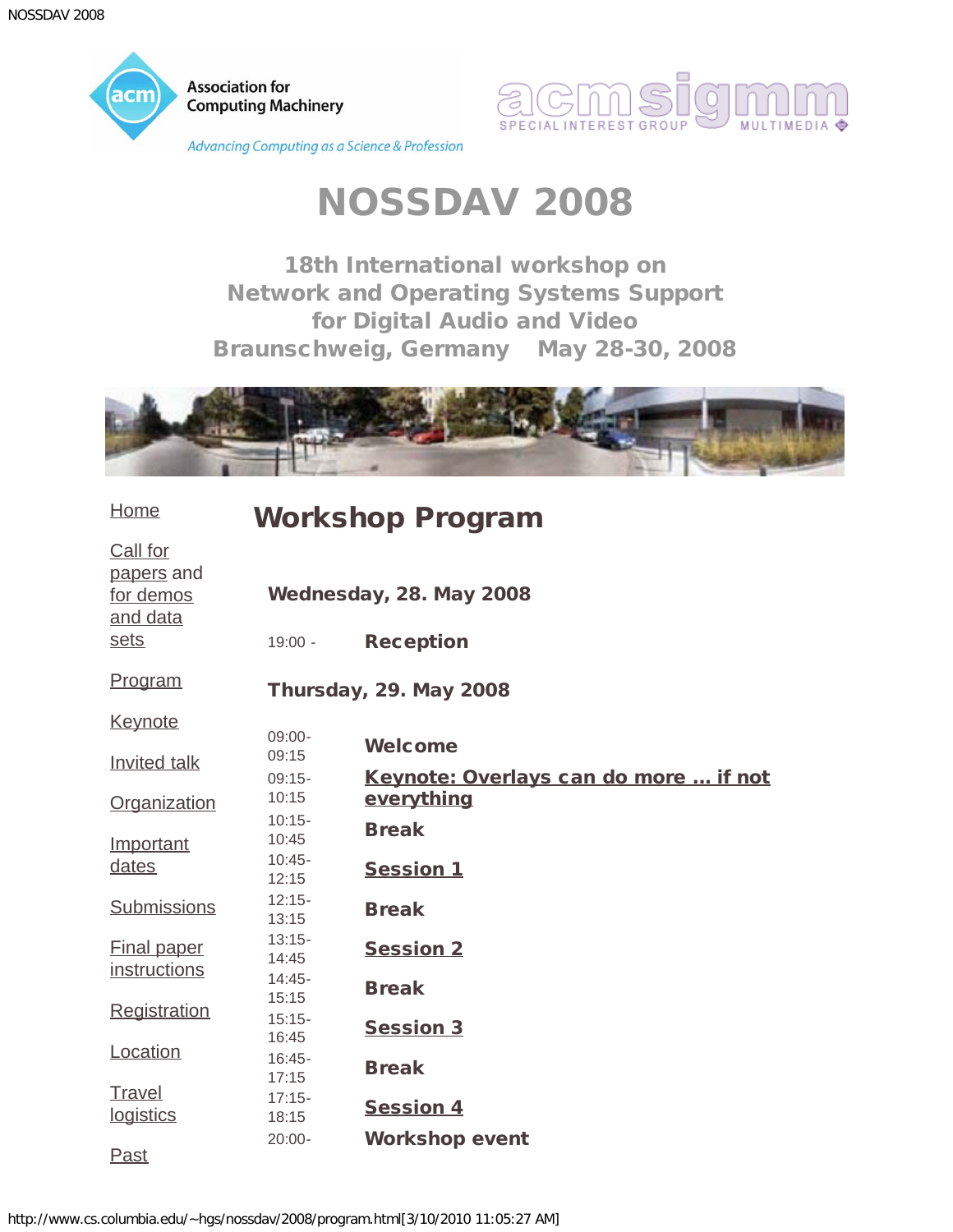<span id="page-0-0"></span>



# NOSSDAV 2008

18th International workshop on Network and Operating Systems Support for Digital Audio and Video Braunschweig, Germany May 28-30, 2008



| <b>Home</b>                                     | <b>Workshop Program</b> |                                                     |  |
|-------------------------------------------------|-------------------------|-----------------------------------------------------|--|
| Call for<br>papers and<br>for demos<br>and data |                         | Wednesday, 28. May 2008                             |  |
| sets                                            | $19:00 -$               | <b>Reception</b>                                    |  |
| Program                                         |                         | <b>Thursday, 29. May 2008</b>                       |  |
| <b>Keynote</b>                                  |                         |                                                     |  |
| Invited talk                                    | $09:00-$<br>09:15       | <b>Welcome</b>                                      |  |
| Organization                                    | $09:15-$<br>10:15       | Keynote: Overlays can do more  if not<br>everything |  |
| Important                                       | $10:15 -$<br>10:45      | <b>Break</b>                                        |  |
| dates                                           | $10:45 -$<br>12:15      | <b>Session 1</b>                                    |  |
| <b>Submissions</b>                              | $12:15 -$<br>13:15      | <b>Break</b>                                        |  |
| <b>Final paper</b><br>instructions              | $13:15-$<br>14:45       | <b>Session 2</b>                                    |  |
|                                                 | $14:45-$<br>15:15       | <b>Break</b>                                        |  |
| Registration                                    | $15:15-$<br>16:45       | <b>Session 3</b>                                    |  |
| Location                                        | $16:45-$<br>17:15       | <b>Break</b>                                        |  |
| Travel<br>logistics                             | $17:15 -$<br>18:15      | <b>Session 4</b>                                    |  |
| <b>Past</b>                                     | $20:00 -$               | <b>Workshop event</b>                               |  |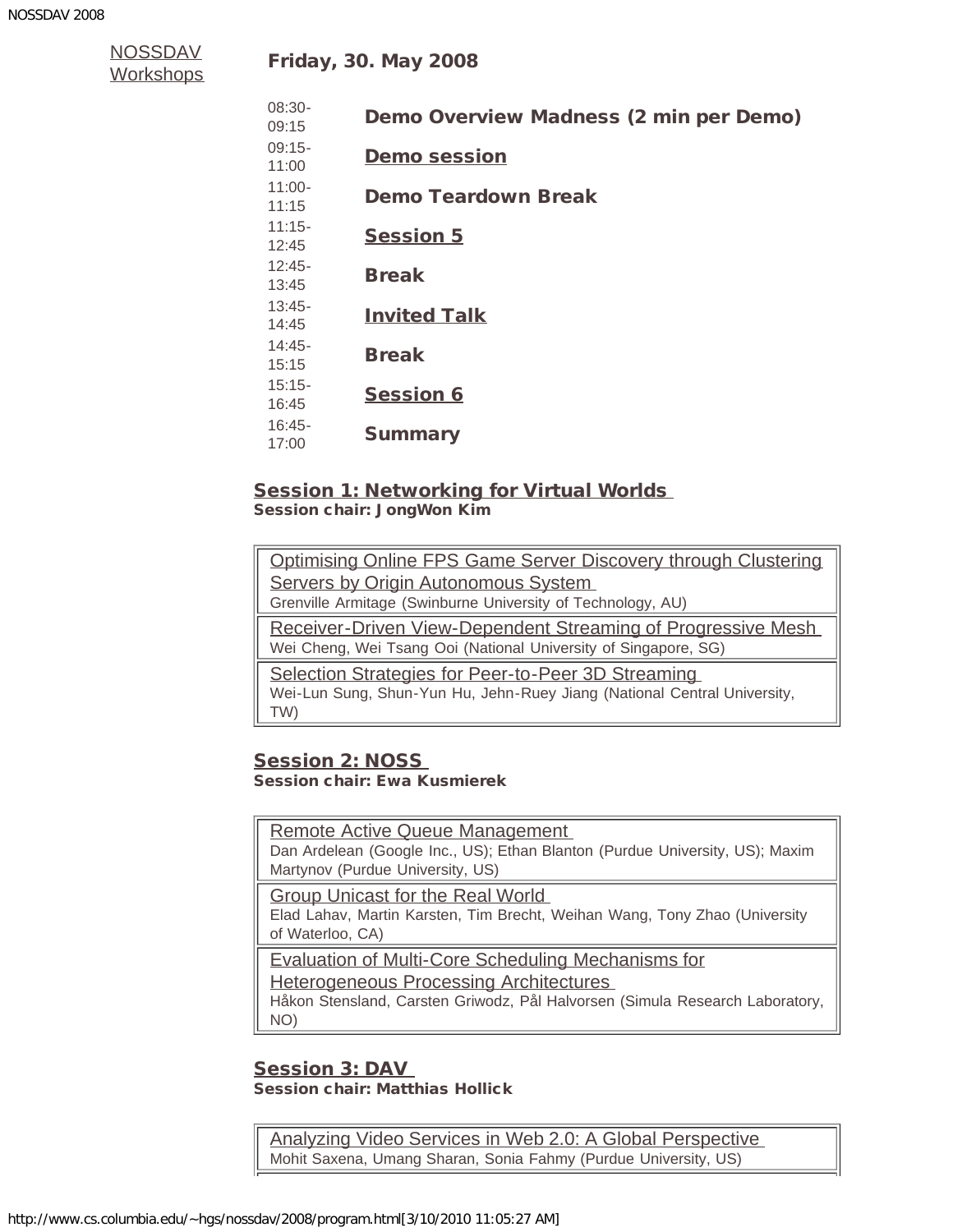| <u>NOSSDAV</u> |  |
|----------------|--|
| Workshops      |  |

| $08:30-$<br>09:15  | Demo Overview Madness (2 min per Demo) |
|--------------------|----------------------------------------|
| $09:15-$<br>11:00  | <b>Demo session</b>                    |
| $11:00 -$<br>11:15 | Demo Teardown Break                    |
| $11:15-$<br>12:45  | <b>Session 5</b>                       |
| $12:45-$<br>13:45  | <b>Break</b>                           |
| $13:45-$<br>14:45  | <b>Invited Talk</b>                    |
| $14:45-$<br>15:15  | <b>Break</b>                           |
| $15:15-$<br>16:45  | <b>Session 6</b>                       |
| $16:45-$<br>17:00  | <b>Summary</b>                         |

## **Session 1: Networking for Virtual Worlds**

<span id="page-1-0"></span>Session chair: JongWon Kim

| Optimising Online FPS Game Server Discovery through Clustering           |  |
|--------------------------------------------------------------------------|--|
| Servers by Origin Autonomous System                                      |  |
| Grenville Armitage (Swinburne University of Technology, AU)              |  |
| <b>Receiver-Driven View-Dependent Streaming of Progressive Mesh</b>      |  |
| Wei Cheng, Wei Tsang Ooi (National University of Singapore, SG)          |  |
| Selection Strategies for Peer-to-Peer 3D Streaming                       |  |
| Wei-Lun Sung, Shun-Yun Hu, Jehn-Ruey Jiang (National Central University, |  |
| TW)                                                                      |  |
|                                                                          |  |

#### <span id="page-1-1"></span>Session 2: NOSS Session chair: Ewa Kusmierek

[Remote Active Queue Management](http://www.simula.no/%7egriff/nossdav2008/21-26.pdf)  Dan Ardelean (Google Inc., US); Ethan Blanton (Purdue University, US); Maxim Martynov (Purdue University, US)

[Group Unicast for the Real World](http://www.simula.no/%7egriff/nossdav2008/27-32.pdf) 

Elad Lahav, Martin Karsten, Tim Brecht, Weihan Wang, Tony Zhao (University of Waterloo, CA)

[Evaluation of Multi-Core Scheduling Mechanisms for](http://www.simula.no/%7egriff/nossdav2008/33-38.pdf)

[Heterogeneous Processing Architectures](http://www.simula.no/%7egriff/nossdav2008/33-38.pdf) 

Håkon Stensland, Carsten Griwodz, Pål Halvorsen (Simula Research Laboratory, NO)

#### <span id="page-1-2"></span>Session 3: DAV Session chair: Matthias Hollick

[Analyzing Video Services in Web 2.0: A Global Perspective](http://www.simula.no/%7egriff/nossdav2008/39-44.pdf)  Mohit Saxena, Umang Sharan, Sonia Fahmy (Purdue University, US)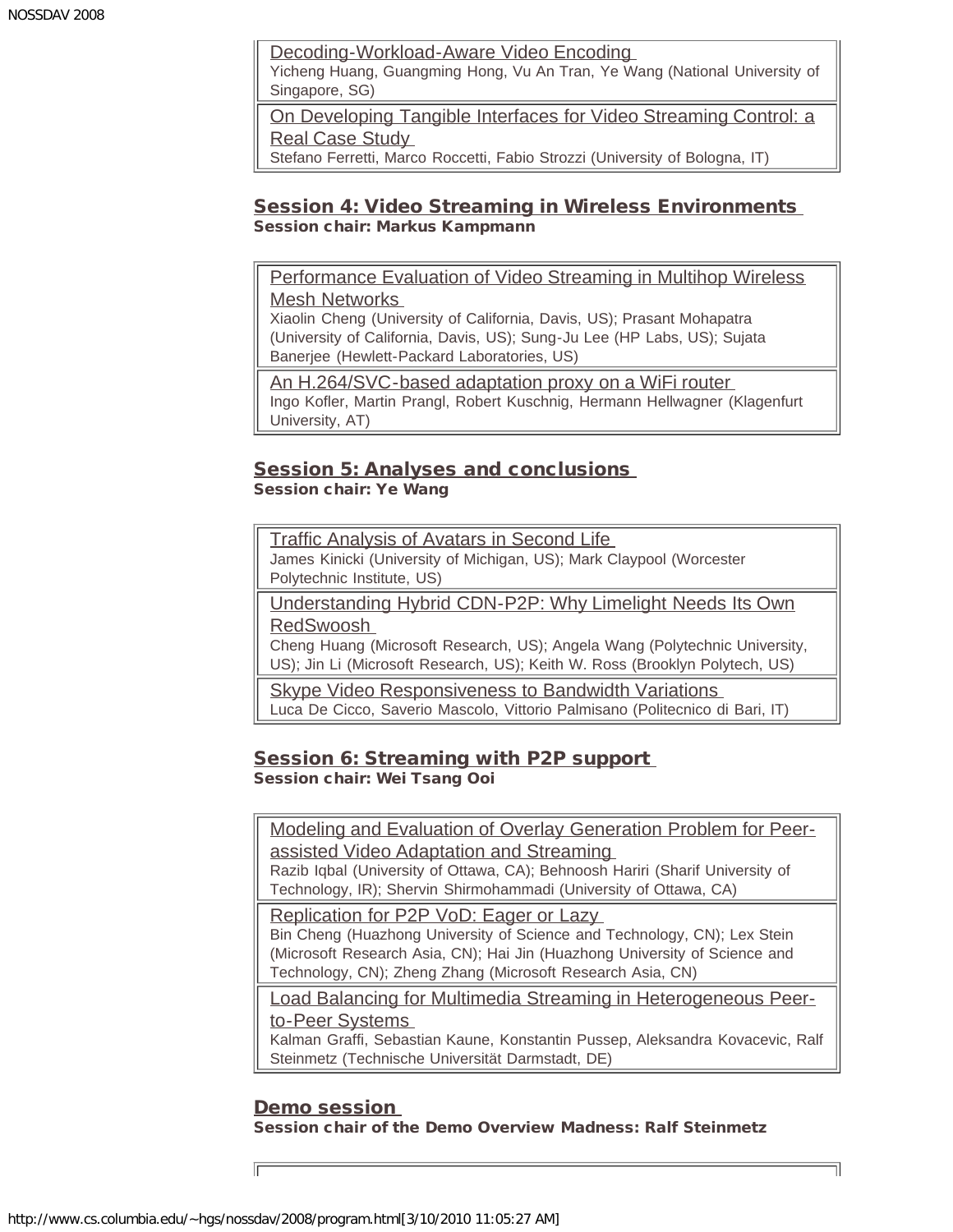[Decoding-Workload-Aware Video Encoding](http://www.simula.no/%7egriff/nossdav2008/45-50.pdf) 

Yicheng Huang, Guangming Hong, Vu An Tran, Ye Wang (National University of Singapore, SG)

[On Developing Tangible Interfaces for Video Streaming Control: a](http://www.simula.no/%7egriff/nossdav2008/51-56.pdf) [Real Case Study](http://www.simula.no/%7egriff/nossdav2008/51-56.pdf) 

Stefano Ferretti, Marco Roccetti, Fabio Strozzi (University of Bologna, IT)

#### <span id="page-2-0"></span>Session 4: Video Streaming in Wireless Environments Session chair: Markus Kampmann

[Performance Evaluation of Video Streaming in Multihop Wireless](http://www.simula.no/%7egriff/nossdav2008/57-62.pdf) [Mesh Networks](http://www.simula.no/%7egriff/nossdav2008/57-62.pdf) 

Xiaolin Cheng (University of California, Davis, US); Prasant Mohapatra (University of California, Davis, US); Sung-Ju Lee (HP Labs, US); Sujata Banerjee (Hewlett-Packard Laboratories, US)

[An H.264/SVC-based adaptation proxy on a WiFi router](http://www.simula.no/%7egriff/nossdav2008/63-68.pdf)  Ingo Kofler, Martin Prangl, Robert Kuschnig, Hermann Hellwagner (Klagenfurt University, AT)

#### <span id="page-2-2"></span>**Session 5: Analyses and conclusions** Session chair: Ye Wang

[Traffic Analysis of Avatars in Second Life](http://www.simula.no/%7egriff/nossdav2008/69-74.pdf)  James Kinicki (University of Michigan, US); Mark Claypool (Worcester Polytechnic Institute, US)

[Understanding Hybrid CDN-P2P: Why Limelight Needs Its Own](http://www.simula.no/%7egriff/nossdav2008/75-80.pdf) [RedSwoosh](http://www.simula.no/%7egriff/nossdav2008/75-80.pdf) 

Cheng Huang (Microsoft Research, US); Angela Wang (Polytechnic University, US); Jin Li (Microsoft Research, US); Keith W. Ross (Brooklyn Polytech, US)

**Skype Video Responsiveness to Bandwidth Variations** Luca De Cicco, Saverio Mascolo, Vittorio Palmisano (Politecnico di Bari, IT)

### <span id="page-2-3"></span>Session 6: Streaming with P2P support Session chair: Wei Tsang Ooi

[Modeling and Evaluation of Overlay Generation Problem for Peer](http://www.simula.no/%7egriff/nossdav2008/87-92.pdf)[assisted Video Adaptation and Streaming](http://www.simula.no/%7egriff/nossdav2008/87-92.pdf) 

Razib Iqbal (University of Ottawa, CA); Behnoosh Hariri (Sharif University of Technology, IR); Shervin Shirmohammadi (University of Ottawa, CA)

[Replication for P2P VoD: Eager or Lazy](http://www.simula.no/%7egriff/nossdav2008/93-98.pdf)  Bin Cheng (Huazhong University of Science and Technology, CN); Lex Stein (Microsoft Research Asia, CN); Hai Jin (Huazhong University of Science and Technology, CN); Zheng Zhang (Microsoft Research Asia, CN)

[Load Balancing for Multimedia Streaming in Heterogeneous Peer](http://www.simula.no/%7egriff/nossdav2008/99-104.pdf)[to-Peer Systems](http://www.simula.no/%7egriff/nossdav2008/99-104.pdf) 

Kalman Graffi, Sebastian Kaune, Konstantin Pussep, Aleksandra Kovacevic, Ralf Steinmetz (Technische Universität Darmstadt, DE)

#### Demo session Session chair of the Demo Overview Madness: Ralf Steinmetz

<span id="page-2-1"></span>http://www.cs.columbia.edu/~hgs/nossdav/2008/program.html[3/10/2010 11:05:27 AM]

匠